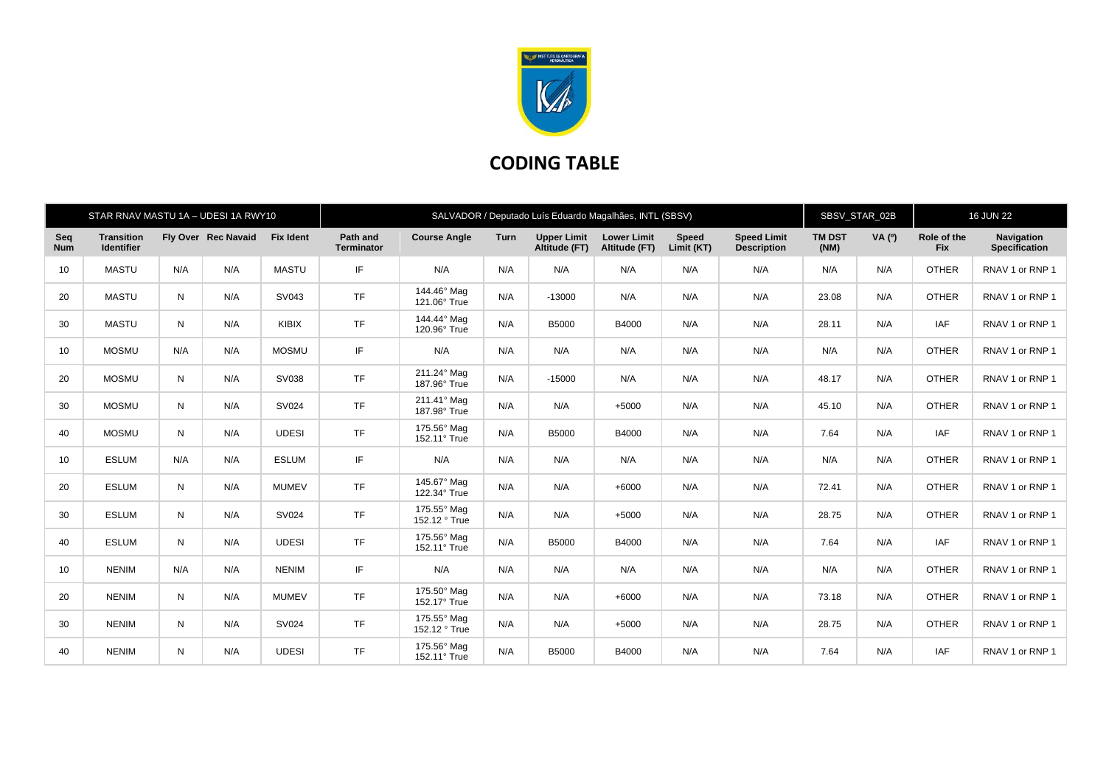

## **CODING TABLE**

|                   | STAR RNAV MASTU 1A - UDESI 1A RWY10    |     |                     |                  | SALVADOR / Deputado Luís Eduardo Magalhães, INTL (SBSV) |                              |      |                                     |                                     |                     |                                          |                       | SBSV_STAR_02B |                           | <b>16 JUN 22</b>                   |  |
|-------------------|----------------------------------------|-----|---------------------|------------------|---------------------------------------------------------|------------------------------|------|-------------------------------------|-------------------------------------|---------------------|------------------------------------------|-----------------------|---------------|---------------------------|------------------------------------|--|
| Seq<br><b>Num</b> | <b>Transition</b><br><b>Identifier</b> |     | Fly Over Rec Navaid | <b>Fix Ident</b> | Path and<br><b>Terminator</b>                           | <b>Course Angle</b>          | Turn | <b>Upper Limit</b><br>Altitude (FT) | <b>Lower Limit</b><br>Altitude (FT) | Speed<br>Limit (KT) | <b>Speed Limit</b><br><b>Description</b> | <b>TM DST</b><br>(NM) | <b>VA</b> (°) | Role of the<br><b>Fix</b> | Navigation<br><b>Specification</b> |  |
| 10                | <b>MASTU</b>                           | N/A | N/A                 | <b>MASTU</b>     | IF.                                                     | N/A                          | N/A  | N/A                                 | N/A                                 | N/A                 | N/A                                      | N/A                   | N/A           | <b>OTHER</b>              | RNAV 1 or RNP 1                    |  |
| 20                | <b>MASTU</b>                           | N   | N/A                 | SV043            | <b>TF</b>                                               | 144.46° Mag<br>121.06° True  | N/A  | $-13000$                            | N/A                                 | N/A                 | N/A                                      | 23.08                 | N/A           | <b>OTHER</b>              | RNAV 1 or RNP 1                    |  |
| 30                | <b>MASTU</b>                           | N   | N/A                 | KIBIX            | <b>TF</b>                                               | 144.44° Mag<br>120.96° True  | N/A  | <b>B5000</b>                        | B4000                               | N/A                 | N/A                                      | 28.11                 | N/A           | <b>IAF</b>                | RNAV 1 or RNP 1                    |  |
| 10                | <b>MOSMU</b>                           | N/A | N/A                 | <b>MOSMU</b>     | IF.                                                     | N/A                          | N/A  | N/A                                 | N/A                                 | N/A                 | N/A                                      | N/A                   | N/A           | <b>OTHER</b>              | RNAV 1 or RNP 1                    |  |
| 20                | <b>MOSMU</b>                           | N   | N/A                 | SV038            | <b>TF</b>                                               | 211.24° Mag<br>187.96° True  | N/A  | $-15000$                            | N/A                                 | N/A                 | N/A                                      | 48.17                 | N/A           | <b>OTHER</b>              | RNAV 1 or RNP 1                    |  |
| 30                | <b>MOSMU</b>                           | N   | N/A                 | <b>SV024</b>     | <b>TF</b>                                               | 211.41° Mag<br>187.98° True  | N/A  | N/A                                 | $+5000$                             | N/A                 | N/A                                      | 45.10                 | N/A           | <b>OTHER</b>              | RNAV 1 or RNP 1                    |  |
| 40                | <b>MOSMU</b>                           | N   | N/A                 | <b>UDESI</b>     | <b>TF</b>                                               | 175.56° Mag<br>152.11° True  | N/A  | <b>B5000</b>                        | B4000                               | N/A                 | N/A                                      | 7.64                  | N/A           | <b>IAF</b>                | RNAV 1 or RNP 1                    |  |
| 10                | <b>ESLUM</b>                           | N/A | N/A                 | <b>ESLUM</b>     | IF                                                      | N/A                          | N/A  | N/A                                 | N/A                                 | N/A                 | N/A                                      | N/A                   | N/A           | <b>OTHER</b>              | RNAV 1 or RNP 1                    |  |
| 20                | <b>ESLUM</b>                           | N   | N/A                 | <b>MUMEV</b>     | <b>TF</b>                                               | 145.67° Mag<br>122.34° True  | N/A  | N/A                                 | $+6000$                             | N/A                 | N/A                                      | 72.41                 | N/A           | <b>OTHER</b>              | RNAV 1 or RNP 1                    |  |
| 30                | <b>ESLUM</b>                           | N   | N/A                 | SV024            | <b>TF</b>                                               | 175.55° Mag<br>152.12 ° True | N/A  | N/A                                 | $+5000$                             | N/A                 | N/A                                      | 28.75                 | N/A           | <b>OTHER</b>              | RNAV 1 or RNP 1                    |  |
| 40                | <b>ESLUM</b>                           | N   | N/A                 | <b>UDESI</b>     | <b>TF</b>                                               | 175.56° Mag<br>152.11° True  | N/A  | B5000                               | B4000                               | N/A                 | N/A                                      | 7.64                  | N/A           | <b>IAF</b>                | RNAV 1 or RNP 1                    |  |
| 10                | <b>NENIM</b>                           | N/A | N/A                 | <b>NENIM</b>     | IF.                                                     | N/A                          | N/A  | N/A                                 | N/A                                 | N/A                 | N/A                                      | N/A                   | N/A           | <b>OTHER</b>              | RNAV 1 or RNP 1                    |  |
| 20                | <b>NENIM</b>                           | N   | N/A                 | <b>MUMEV</b>     | <b>TF</b>                                               | 175.50° Mag<br>152.17° True  | N/A  | N/A                                 | $+6000$                             | N/A                 | N/A                                      | 73.18                 | N/A           | <b>OTHER</b>              | RNAV 1 or RNP 1                    |  |
| 30                | <b>NENIM</b>                           | N   | N/A                 | SV024            | <b>TF</b>                                               | 175.55° Mag<br>152.12 ° True | N/A  | N/A                                 | $+5000$                             | N/A                 | N/A                                      | 28.75                 | N/A           | <b>OTHER</b>              | RNAV 1 or RNP 1                    |  |
| 40                | <b>NENIM</b>                           | N   | N/A                 | <b>UDESI</b>     | <b>TF</b>                                               | 175.56° Mag<br>152.11° True  | N/A  | <b>B5000</b>                        | B4000                               | N/A                 | N/A                                      | 7.64                  | N/A           | <b>IAF</b>                | RNAV 1 or RNP 1                    |  |